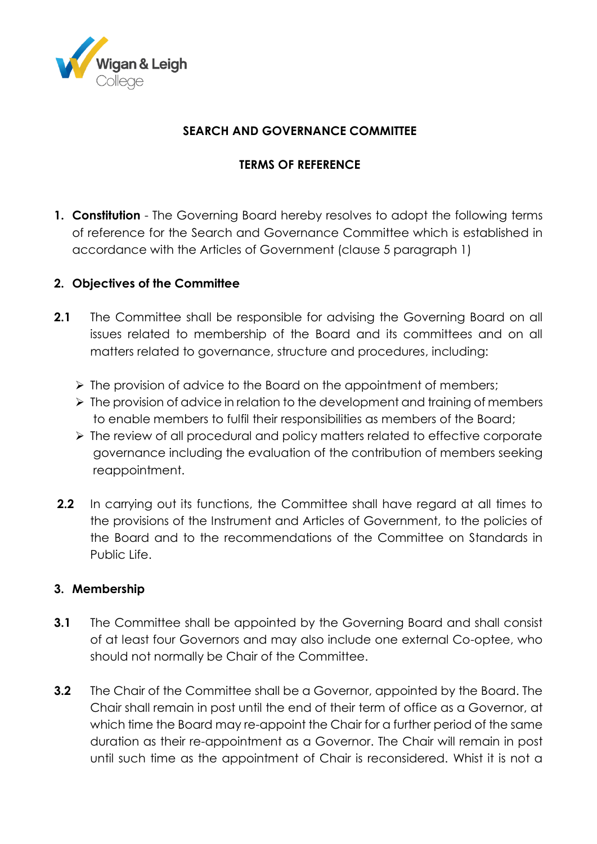

### **SEARCH AND GOVERNANCE COMMITTEE**

## **TERMS OF REFERENCE**

**1. Constitution** - The Governing Board hereby resolves to adopt the following terms of reference for the Search and Governance Committee which is established in accordance with the Articles of Government (clause 5 paragraph 1)

## **2. Objectives of the Committee**

- **2.1** The Committee shall be responsible for advising the Governing Board on all issues related to membership of the Board and its committees and on all matters related to governance, structure and procedures, including:
	- $\triangleright$  The provision of advice to the Board on the appointment of members;
	- $\triangleright$  The provision of advice in relation to the development and training of members to enable members to fulfil their responsibilities as members of the Board;
	- The review of all procedural and policy matters related to effective corporate governance including the evaluation of the contribution of members seeking reappointment.
- **2.2** In carrying out its functions, the Committee shall have regard at all times to the provisions of the Instrument and Articles of Government, to the policies of the Board and to the recommendations of the Committee on Standards in Public Life.

## **3. Membership**

- **3.1** The Committee shall be appointed by the Governing Board and shall consist of at least four Governors and may also include one external Co-optee, who should not normally be Chair of the Committee.
- **3.2** The Chair of the Committee shall be a Governor, appointed by the Board. The Chair shall remain in post until the end of their term of office as a Governor, at which time the Board may re-appoint the Chair for a further period of the same duration as their re-appointment as a Governor. The Chair will remain in post until such time as the appointment of Chair is reconsidered. Whist it is not a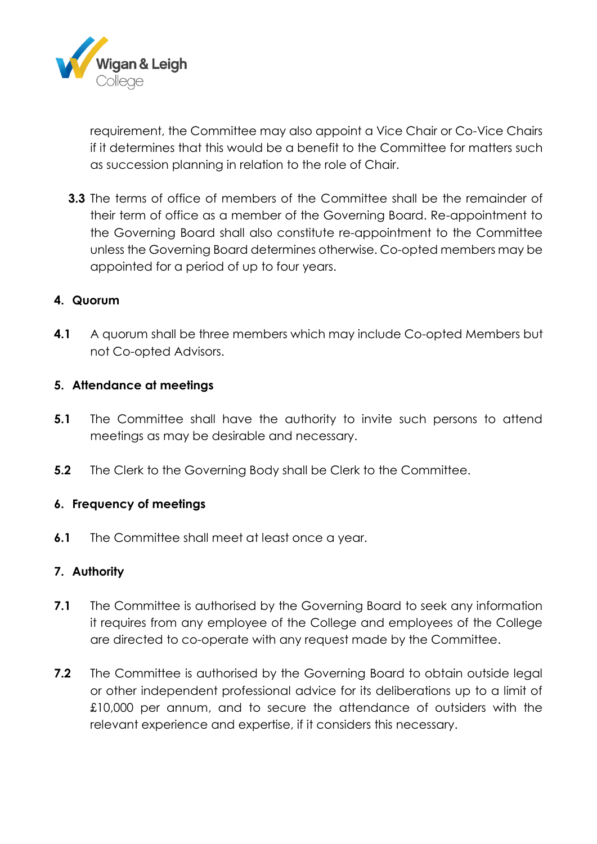

requirement, the Committee may also appoint a Vice Chair or Co-Vice Chairs if it determines that this would be a benefit to the Committee for matters such as succession planning in relation to the role of Chair.

**3.3** The terms of office of members of the Committee shall be the remainder of their term of office as a member of the Governing Board. Re-appointment to the Governing Board shall also constitute re-appointment to the Committee unless the Governing Board determines otherwise. Co-opted members may be appointed for a period of up to four years.

#### **4. Quorum**

**4.1** A quorum shall be three members which may include Co-opted Members but not Co-opted Advisors.

#### **5. Attendance at meetings**

- **5.1** The Committee shall have the authority to invite such persons to attend meetings as may be desirable and necessary.
- **5.2** The Clerk to the Governing Body shall be Clerk to the Committee.

#### **6. Frequency of meetings**

**6.1** The Committee shall meet at least once a year.

#### **7. Authority**

- **7.1** The Committee is authorised by the Governing Board to seek any information it requires from any employee of the College and employees of the College are directed to co-operate with any request made by the Committee.
- **7.2** The Committee is authorised by the Governing Board to obtain outside legal or other independent professional advice for its deliberations up to a limit of £10,000 per annum, and to secure the attendance of outsiders with the relevant experience and expertise, if it considers this necessary.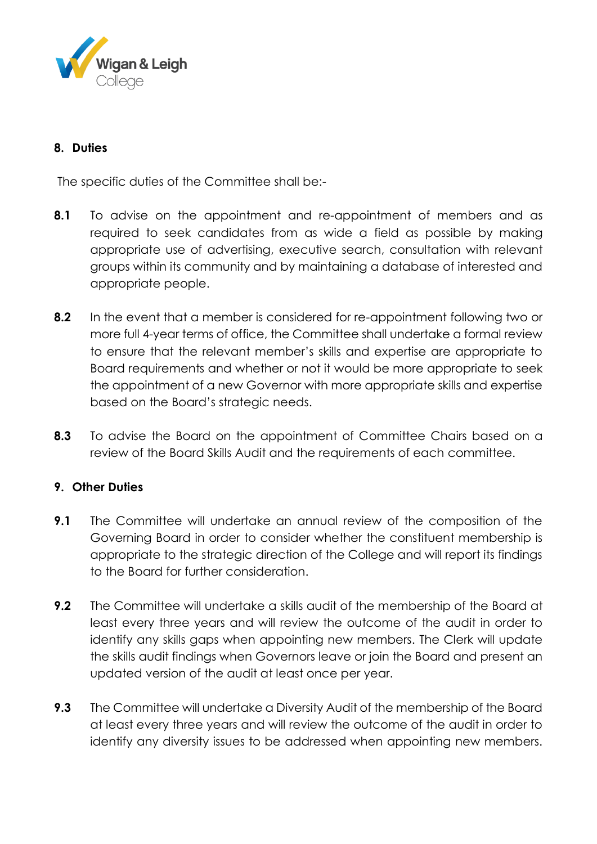

### **8. Duties**

The specific duties of the Committee shall be:-

- **8.1** To advise on the appointment and re-appointment of members and as required to seek candidates from as wide a field as possible by making appropriate use of advertising, executive search, consultation with relevant groups within its community and by maintaining a database of interested and appropriate people.
- **8.2** In the event that a member is considered for re-appointment following two or more full 4-year terms of office, the Committee shall undertake a formal review to ensure that the relevant member's skills and expertise are appropriate to Board requirements and whether or not it would be more appropriate to seek the appointment of a new Governor with more appropriate skills and expertise based on the Board's strategic needs.
- **8.3** To advise the Board on the appointment of Committee Chairs based on a review of the Board Skills Audit and the requirements of each committee.

## **9. Other Duties**

- **9.1** The Committee will undertake an annual review of the composition of the Governing Board in order to consider whether the constituent membership is appropriate to the strategic direction of the College and will report its findings to the Board for further consideration.
- **9.2** The Committee will undertake a skills audit of the membership of the Board at least every three years and will review the outcome of the audit in order to identify any skills gaps when appointing new members. The Clerk will update the skills audit findings when Governors leave or join the Board and present an updated version of the audit at least once per year.
- **9.3** The Committee will undertake a Diversity Audit of the membership of the Board at least every three years and will review the outcome of the audit in order to identify any diversity issues to be addressed when appointing new members.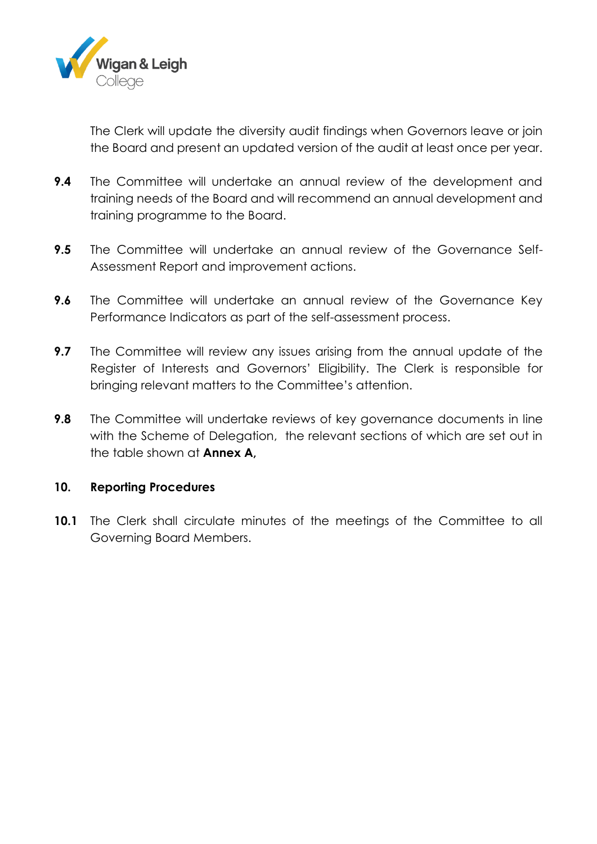

The Clerk will update the diversity audit findings when Governors leave or join the Board and present an updated version of the audit at least once per year.

- **9.4** The Committee will undertake an annual review of the development and training needs of the Board and will recommend an annual development and training programme to the Board.
- **9.5** The Committee will undertake an annual review of the Governance Self-Assessment Report and improvement actions.
- **9.6** The Committee will undertake an annual review of the Governance Key Performance Indicators as part of the self-assessment process.
- **9.7** The Committee will review any issues arising from the annual update of the Register of Interests and Governors' Eligibility. The Clerk is responsible for bringing relevant matters to the Committee's attention.
- **9.8** The Committee will undertake reviews of key governance documents in line with the Scheme of Delegation, the relevant sections of which are set out in the table shown at **Annex A,**

#### **10. Reporting Procedures**

**10.1** The Clerk shall circulate minutes of the meetings of the Committee to all Governing Board Members.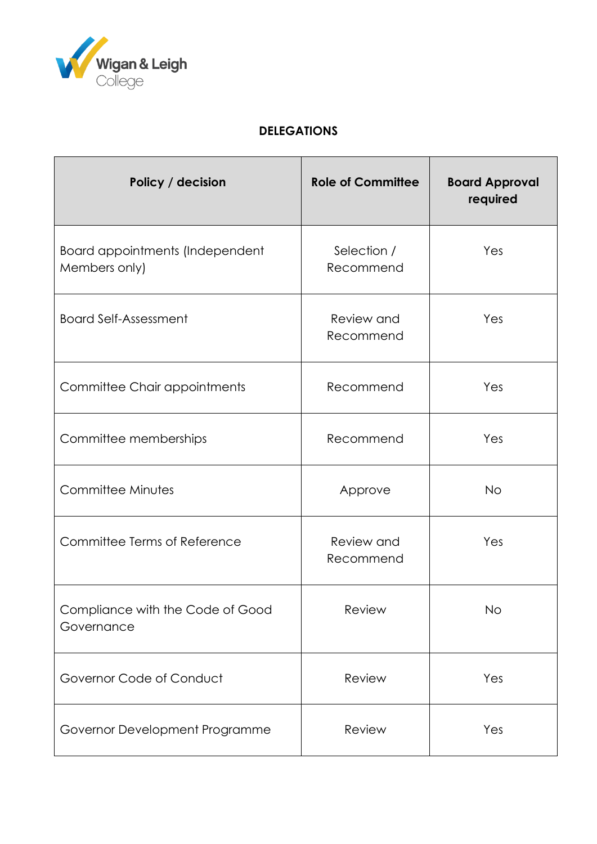

# **DELEGATIONS**

| Policy / decision                                | <b>Role of Committee</b> | <b>Board Approval</b><br>required |
|--------------------------------------------------|--------------------------|-----------------------------------|
| Board appointments (Independent<br>Members only) | Selection /<br>Recommend | Yes                               |
| <b>Board Self-Assessment</b>                     | Review and<br>Recommend  | Yes                               |
| Committee Chair appointments                     | Recommend                | Yes                               |
| Committee memberships                            | Recommend                | Yes                               |
| Committee Minutes                                | Approve                  | <b>No</b>                         |
| Committee Terms of Reference                     | Review and<br>Recommend  | Yes                               |
| Compliance with the Code of Good<br>Governance   | Review                   | No                                |
| Governor Code of Conduct                         | Review                   | Yes                               |
| Governor Development Programme                   | Review                   | Yes                               |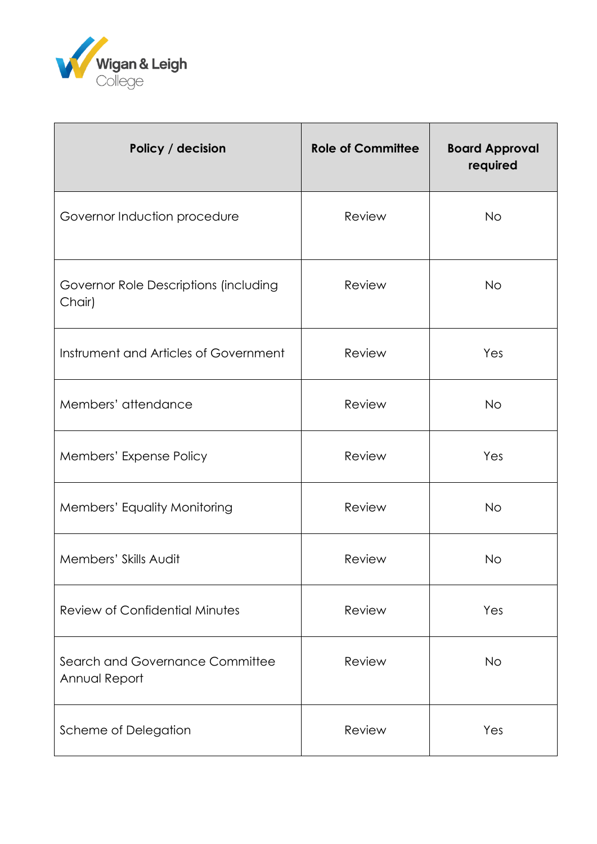

| Policy / decision                                | <b>Role of Committee</b> | <b>Board Approval</b><br>required |
|--------------------------------------------------|--------------------------|-----------------------------------|
| Governor Induction procedure                     | Review                   | <b>No</b>                         |
| Governor Role Descriptions (including<br>Chair)  | Review                   | <b>No</b>                         |
| Instrument and Articles of Government            | Review                   | Yes                               |
| Members' attendance                              | Review                   | <b>No</b>                         |
| Members' Expense Policy                          | Review                   | Yes                               |
| Members' Equality Monitoring                     | Review                   | <b>No</b>                         |
| Members' Skills Audit                            | Review                   | <b>No</b>                         |
| <b>Review of Confidential Minutes</b>            | Review                   | Yes                               |
| Search and Governance Committee<br>Annual Report | Review                   | <b>No</b>                         |
| Scheme of Delegation                             | Review                   | Yes                               |